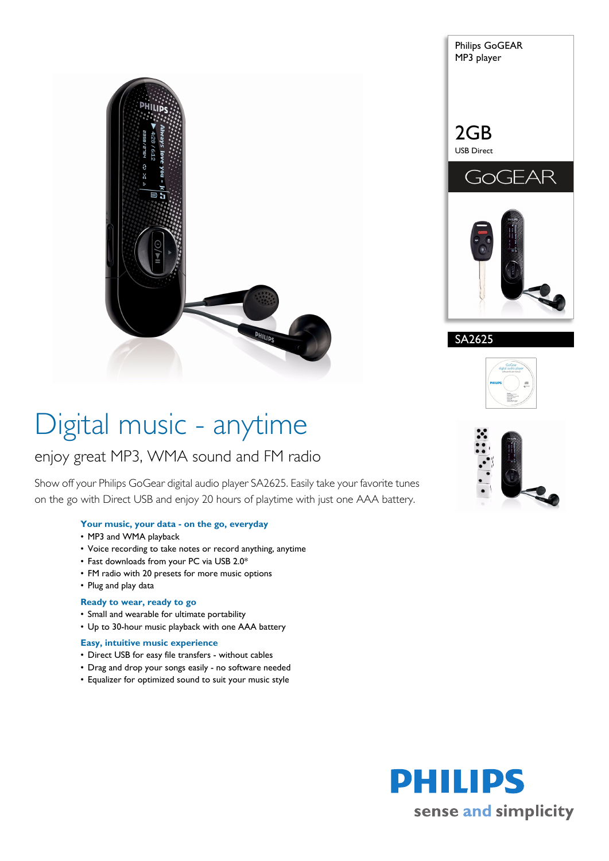



SA2625



# Digital music - anytime

# enjoy great MP3, WMA sound and FM radio

Show off your Philips GoGear digital audio player SA2625. Easily take your favorite tunes on the go with Direct USB and enjoy 20 hours of playtime with just one AAA battery.

#### **Your music, your data - on the go, everyday**

- MP3 and WMA playback
- Voice recording to take notes or record anything, anytime
- Fast downloads from your PC via USB 2.0\*
- FM radio with 20 presets for more music options
- Plug and play data

#### **Ready to wear, ready to go**

- Small and wearable for ultimate portability
- Up to 30-hour music playback with one AAA battery

#### **Easy, intuitive music experience**

- Direct USB for easy file transfers without cables
- Drag and drop your songs easily no software needed
- Equalizer for optimized sound to suit your music style